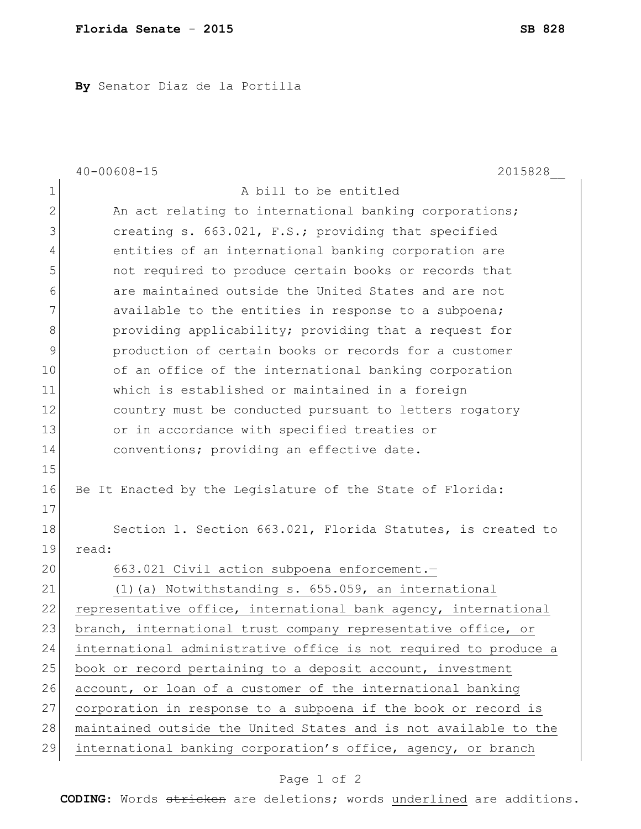**By** Senator Diaz de la Portilla

|                | $40 - 00608 - 15$<br>2015828                                     |
|----------------|------------------------------------------------------------------|
| $\mathbf 1$    | A bill to be entitled                                            |
| $\overline{2}$ | An act relating to international banking corporations;           |
| 3              | creating s. 663.021, F.S.; providing that specified              |
| 4              | entities of an international banking corporation are             |
| 5              | not required to produce certain books or records that            |
| 6              | are maintained outside the United States and are not             |
| 7              | available to the entities in response to a subpoena;             |
| 8              | providing applicability; providing that a request for            |
| 9              | production of certain books or records for a customer            |
| 10             | of an office of the international banking corporation            |
| 11             | which is established or maintained in a foreign                  |
| 12             | country must be conducted pursuant to letters rogatory           |
| 13             | or in accordance with specified treaties or                      |
| 14             | conventions; providing an effective date.                        |
| 15             |                                                                  |
| 16             | Be It Enacted by the Legislature of the State of Florida:        |
| 17             |                                                                  |
| 18             | Section 1. Section 663.021, Florida Statutes, is created to      |
| 19             | read:                                                            |
| 20             | 663.021 Civil action subpoena enforcement.-                      |
| 21             | (1) (a) Notwithstanding s. 655.059, an international             |
| 22             | representative office, international bank agency, international  |
| 23             | branch, international trust company representative office, or    |
| 24             | international administrative office is not required to produce a |
| 25             | book or record pertaining to a deposit account, investment       |
| 26             | account, or loan of a customer of the international banking      |
| 27             | corporation in response to a subpoena if the book or record is   |
| 28             | maintained outside the United States and is not available to the |
| 29             | international banking corporation's office, agency, or branch    |

## Page 1 of 2

**CODING**: Words stricken are deletions; words underlined are additions.